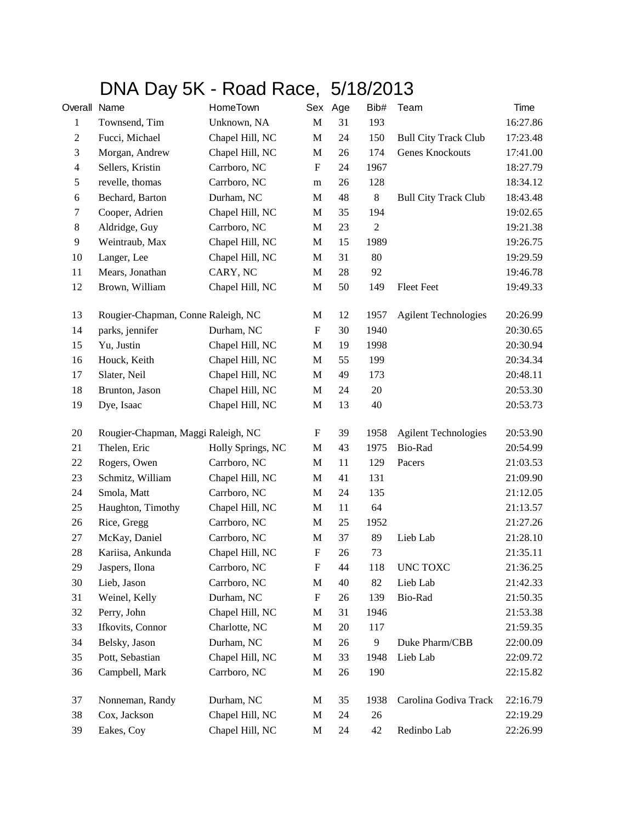## DNA Day 5K - Road Race, 5/18/2013

| Overall Name   |                                    | HomeTown          |                           | Sex Age | Bib#             | Team                        | Time     |
|----------------|------------------------------------|-------------------|---------------------------|---------|------------------|-----------------------------|----------|
| 1              | Townsend, Tim                      | Unknown, NA       | $\mathbf M$               | 31      | 193              |                             | 16:27.86 |
| $\overline{c}$ | Fucci, Michael                     | Chapel Hill, NC   | $\mathbf M$               | 24      | 150              | <b>Bull City Track Club</b> | 17:23.48 |
| 3              | Morgan, Andrew                     | Chapel Hill, NC   | M                         | 26      | 174              | Genes Knockouts             | 17:41.00 |
| $\overline{4}$ | Sellers, Kristin                   | Carrboro, NC      | ${\bf F}$                 | 24      | 1967             |                             | 18:27.79 |
| 5              | revelle, thomas                    | Carrboro, NC      | m                         | 26      | 128              |                             | 18:34.12 |
| 6              | Bechard, Barton                    | Durham, NC        | $\mathbf M$               | 48      | 8                | <b>Bull City Track Club</b> | 18:43.48 |
| $\tau$         | Cooper, Adrien                     | Chapel Hill, NC   | $\mathbf M$               | 35      | 194              |                             | 19:02.65 |
| $\,8\,$        | Aldridge, Guy                      | Carrboro, NC      | $\mathbf M$               | 23      | $\boldsymbol{2}$ |                             | 19:21.38 |
| $\overline{9}$ | Weintraub, Max                     | Chapel Hill, NC   | $\mathbf M$               | 15      | 1989             |                             | 19:26.75 |
| 10             | Langer, Lee                        | Chapel Hill, NC   | M                         | 31      | 80               |                             | 19:29.59 |
| 11             | Mears, Jonathan                    | CARY, NC          | M                         | 28      | 92               |                             | 19:46.78 |
| 12             | Brown, William                     | Chapel Hill, NC   | $\mathbf M$               | 50      | 149              | <b>Fleet Feet</b>           | 19:49.33 |
| 13             | Rougier-Chapman, Conne Raleigh, NC |                   | $\mathbf M$               | 12      | 1957             | <b>Agilent Technologies</b> | 20:26.99 |
| 14             | parks, jennifer                    | Durham, NC        | ${\bf F}$                 | 30      | 1940             |                             | 20:30.65 |
| 15             | Yu, Justin                         | Chapel Hill, NC   | M                         | 19      | 1998             |                             | 20:30.94 |
| 16             | Houck, Keith                       | Chapel Hill, NC   | $\mathbf M$               | 55      | 199              |                             | 20:34.34 |
| 17             | Slater, Neil                       | Chapel Hill, NC   | $\mathbf M$               | 49      | 173              |                             | 20:48.11 |
| 18             | Brunton, Jason                     | Chapel Hill, NC   | $\mathbf M$               | 24      | $20\,$           |                             | 20:53.30 |
| 19             | Dye, Isaac                         | Chapel Hill, NC   | $\mathbf{M}$              | 13      | 40               |                             | 20:53.73 |
| 20             | Rougier-Chapman, Maggi Raleigh, NC |                   | F                         | 39      | 1958             | <b>Agilent Technologies</b> | 20:53.90 |
| 21             | Thelen, Eric                       | Holly Springs, NC | $\mathbf M$               | 43      | 1975             | Bio-Rad                     | 20:54.99 |
| 22             | Rogers, Owen                       | Carrboro, NC      | $\mathbf M$               | 11      | 129              | Pacers                      | 21:03.53 |
| 23             | Schmitz, William                   | Chapel Hill, NC   | $\mathbf M$               | 41      | 131              |                             | 21:09.90 |
| 24             | Smola, Matt                        | Carrboro, NC      | $\mathbf M$               | 24      | 135              |                             | 21:12.05 |
| 25             | Haughton, Timothy                  | Chapel Hill, NC   | M                         | 11      | 64               |                             | 21:13.57 |
| 26             | Rice, Gregg                        | Carrboro, NC      | $\mathbf M$               | 25      | 1952             |                             | 21:27.26 |
| $27\,$         | McKay, Daniel                      | Carrboro, NC      | $\mathbf M$               | 37      | 89               | Lieb Lab                    | 21:28.10 |
| 28             | Kariisa, Ankunda                   | Chapel Hill, NC   | $\boldsymbol{\mathrm{F}}$ | 26      | 73               |                             | 21:35.11 |
| 29             | Jaspers, Ilona                     | Carrboro, NC      | ${\bf F}$                 | 44      | 118              | UNC TOXC                    | 21:36.25 |
| 30             | Lieb, Jason                        | Carrboro, NC      | M                         | 40      | 82               | Lieb Lab                    | 21:42.33 |
| 31             | Weinel, Kelly                      | Durham, NC        | ${\bf F}$                 | 26      | 139              | Bio-Rad                     | 21:50.35 |
| 32             | Perry, John                        | Chapel Hill, NC   | M                         | 31      | 1946             |                             | 21:53.38 |
| 33             | Ifkovits, Connor                   | Charlotte, NC     | $\mathbf M$               | 20      | 117              |                             | 21:59.35 |
| 34             | Belsky, Jason                      | Durham, NC        | M                         | 26      | 9                | Duke Pharm/CBB              | 22:00.09 |
| 35             | Pott, Sebastian                    | Chapel Hill, NC   | M                         | 33      | 1948             | Lieb Lab                    | 22:09.72 |
| 36             | Campbell, Mark                     | Carrboro, NC      | $\mathbf M$               | 26      | 190              |                             | 22:15.82 |
| 37             | Nonneman, Randy                    | Durham, NC        | M                         | 35      | 1938             | Carolina Godiva Track       | 22:16.79 |
| 38             | Cox, Jackson                       | Chapel Hill, NC   | $\mathbf{M}$              | 24      | $26\,$           |                             | 22:19.29 |
| 39             | Eakes, Coy                         | Chapel Hill, NC   | M                         | 24      | 42               | Redinbo Lab                 | 22:26.99 |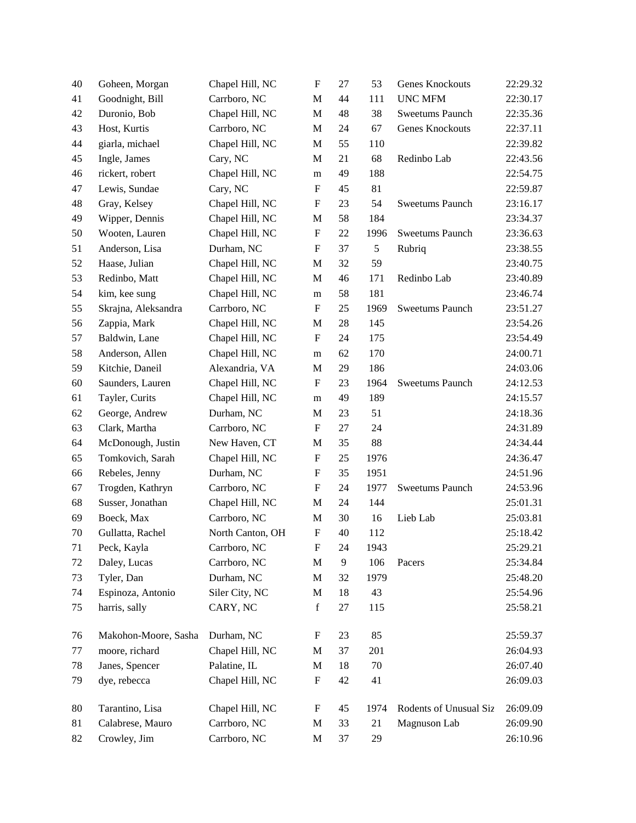| 40 | Goheen, Morgan       | Chapel Hill, NC  | $\boldsymbol{\mathrm{F}}$ | 27 | 53   | Genes Knockouts        | 22:29.32 |
|----|----------------------|------------------|---------------------------|----|------|------------------------|----------|
| 41 | Goodnight, Bill      | Carrboro, NC     | $\mathbf M$               | 44 | 111  | <b>UNC MFM</b>         | 22:30.17 |
| 42 | Duronio, Bob         | Chapel Hill, NC  | $\mathbf M$               | 48 | 38   | <b>Sweetums Paunch</b> | 22:35.36 |
| 43 | Host, Kurtis         | Carrboro, NC     | M                         | 24 | 67   | Genes Knockouts        | 22:37.11 |
| 44 | giarla, michael      | Chapel Hill, NC  | M                         | 55 | 110  |                        | 22:39.82 |
| 45 | Ingle, James         | Cary, NC         | M                         | 21 | 68   | Redinbo Lab            | 22:43.56 |
| 46 | rickert, robert      | Chapel Hill, NC  | m                         | 49 | 188  |                        | 22:54.75 |
| 47 | Lewis, Sundae        | Cary, NC         | $\mathbf F$               | 45 | 81   |                        | 22:59.87 |
| 48 | Gray, Kelsey         | Chapel Hill, NC  | F                         | 23 | 54   | Sweetums Paunch        | 23:16.17 |
| 49 | Wipper, Dennis       | Chapel Hill, NC  | M                         | 58 | 184  |                        | 23:34.37 |
| 50 | Wooten, Lauren       | Chapel Hill, NC  | $\boldsymbol{\mathrm{F}}$ | 22 | 1996 | Sweetums Paunch        | 23:36.63 |
| 51 | Anderson, Lisa       | Durham, NC       | ${\bf F}$                 | 37 | 5    | Rubriq                 | 23:38.55 |
| 52 | Haase, Julian        | Chapel Hill, NC  | M                         | 32 | 59   |                        | 23:40.75 |
| 53 | Redinbo, Matt        | Chapel Hill, NC  | M                         | 46 | 171  | Redinbo Lab            | 23:40.89 |
| 54 | kim, kee sung        | Chapel Hill, NC  | m                         | 58 | 181  |                        | 23:46.74 |
| 55 | Skrajna, Aleksandra  | Carrboro, NC     | $\mathbf F$               | 25 | 1969 | <b>Sweetums Paunch</b> | 23:51.27 |
| 56 | Zappia, Mark         | Chapel Hill, NC  | M                         | 28 | 145  |                        | 23:54.26 |
| 57 | Baldwin, Lane        | Chapel Hill, NC  | $\boldsymbol{\mathrm{F}}$ | 24 | 175  |                        | 23:54.49 |
| 58 | Anderson, Allen      | Chapel Hill, NC  | m                         | 62 | 170  |                        | 24:00.71 |
| 59 | Kitchie, Daneil      | Alexandria, VA   | M                         | 29 | 186  |                        | 24:03.06 |
| 60 | Saunders, Lauren     | Chapel Hill, NC  | $\mathbf F$               | 23 | 1964 | Sweetums Paunch        | 24:12.53 |
| 61 | Tayler, Curits       | Chapel Hill, NC  | m                         | 49 | 189  |                        | 24:15.57 |
| 62 | George, Andrew       | Durham, NC       | M                         | 23 | 51   |                        | 24:18.36 |
| 63 | Clark, Martha        | Carrboro, NC     | F                         | 27 | 24   |                        | 24:31.89 |
| 64 | McDonough, Justin    | New Haven, CT    | M                         | 35 | 88   |                        | 24:34.44 |
| 65 | Tomkovich, Sarah     | Chapel Hill, NC  | $\mathbf F$               | 25 | 1976 |                        | 24:36.47 |
| 66 | Rebeles, Jenny       | Durham, NC       | F                         | 35 | 1951 |                        | 24:51.96 |
| 67 | Trogden, Kathryn     | Carrboro, NC     | ${\bf F}$                 | 24 | 1977 | Sweetums Paunch        | 24:53.96 |
| 68 | Susser, Jonathan     | Chapel Hill, NC  | M                         | 24 | 144  |                        | 25:01.31 |
| 69 | Boeck, Max           | Carrboro, NC     | M                         | 30 | 16   | Lieb Lab               | 25:03.81 |
| 70 | Gullatta, Rachel     | North Canton, OH | $\mathbf F$               | 40 | 112  |                        | 25:18.42 |
| 71 | Peck, Kayla          | Carrboro, NC     | F                         | 24 | 1943 |                        | 25:29.21 |
| 72 | Daley, Lucas         | Carrboro, NC     | $\mathbf M$               | 9  | 106  | Pacers                 | 25:34.84 |
| 73 | Tyler, Dan           | Durham, NC       | $\mathbf M$               | 32 | 1979 |                        | 25:48.20 |
| 74 | Espinoza, Antonio    | Siler City, NC   | M                         | 18 | 43   |                        | 25:54.96 |
| 75 | harris, sally        | CARY, NC         | $\mathbf f$               | 27 | 115  |                        | 25:58.21 |
| 76 | Makohon-Moore, Sasha | Durham, NC       | F                         | 23 | 85   |                        | 25:59.37 |
| 77 | moore, richard       | Chapel Hill, NC  | M                         | 37 | 201  |                        | 26:04.93 |
| 78 | Janes, Spencer       | Palatine, IL     | M                         | 18 | 70   |                        | 26:07.40 |
| 79 | dye, rebecca         | Chapel Hill, NC  | ${\rm F}$                 | 42 | 41   |                        | 26:09.03 |
| 80 | Tarantino, Lisa      | Chapel Hill, NC  | ${\rm F}$                 | 45 | 1974 | Rodents of Unusual Siz | 26:09.09 |
| 81 | Calabrese, Mauro     | Carrboro, NC     | M                         | 33 | 21   | Magnuson Lab           | 26:09.90 |
| 82 | Crowley, Jim         | Carrboro, NC     | M                         | 37 | 29   |                        | 26:10.96 |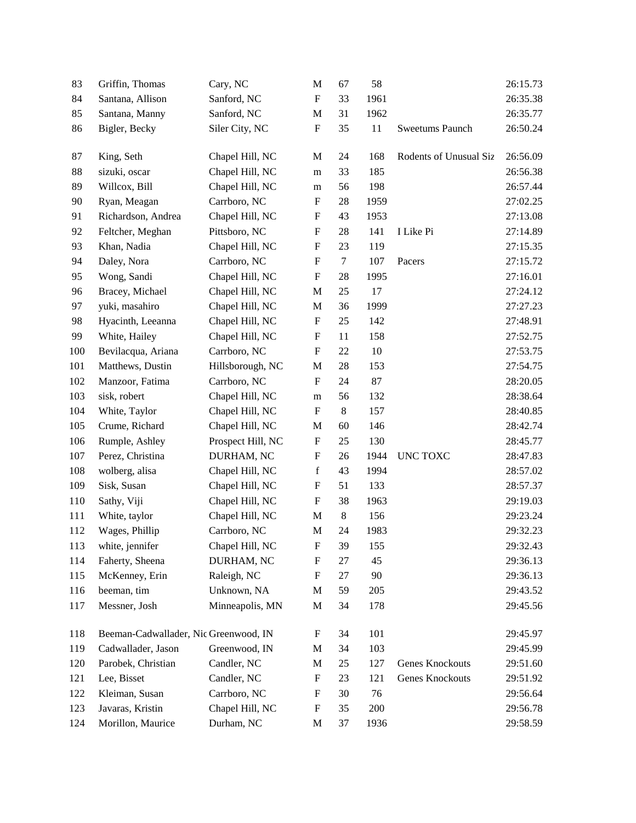| 83  | Griffin, Thomas                       | Cary, NC          | M                         | 67     | 58   |                        | 26:15.73 |
|-----|---------------------------------------|-------------------|---------------------------|--------|------|------------------------|----------|
| 84  | Santana, Allison                      | Sanford, NC       | $\boldsymbol{\mathrm{F}}$ | 33     | 1961 |                        | 26:35.38 |
| 85  | Santana, Manny                        | Sanford, NC       | $\mathbf{M}$              | 31     | 1962 |                        | 26:35.77 |
| 86  | Bigler, Becky                         | Siler City, NC    | $\boldsymbol{\mathrm{F}}$ | 35     | 11   | Sweetums Paunch        | 26:50.24 |
| 87  | King, Seth                            | Chapel Hill, NC   | M                         | 24     | 168  | Rodents of Unusual Siz | 26:56.09 |
| 88  | sizuki, oscar                         | Chapel Hill, NC   | m                         | 33     | 185  |                        | 26:56.38 |
| 89  | Willcox, Bill                         | Chapel Hill, NC   | m                         | 56     | 198  |                        | 26:57.44 |
| 90  | Ryan, Meagan                          | Carrboro, NC      | $\boldsymbol{\mathrm{F}}$ | 28     | 1959 |                        | 27:02.25 |
| 91  | Richardson, Andrea                    | Chapel Hill, NC   | $\boldsymbol{\mathrm{F}}$ | 43     | 1953 |                        | 27:13.08 |
| 92  | Feltcher, Meghan                      | Pittsboro, NC     | $\boldsymbol{\mathrm{F}}$ | 28     | 141  | I Like Pi              | 27:14.89 |
| 93  | Khan, Nadia                           | Chapel Hill, NC   | F                         | 23     | 119  |                        | 27:15.35 |
| 94  | Daley, Nora                           | Carrboro, NC      | $\boldsymbol{\mathrm{F}}$ | $\tau$ | 107  | Pacers                 | 27:15.72 |
| 95  | Wong, Sandi                           | Chapel Hill, NC   | $\boldsymbol{\mathrm{F}}$ | 28     | 1995 |                        | 27:16.01 |
| 96  | Bracey, Michael                       | Chapel Hill, NC   | $\mathbf{M}$              | 25     | 17   |                        | 27:24.12 |
| 97  | yuki, masahiro                        | Chapel Hill, NC   | M                         | 36     | 1999 |                        | 27:27.23 |
| 98  | Hyacinth, Leeanna                     | Chapel Hill, NC   | F                         | 25     | 142  |                        | 27:48.91 |
| 99  | White, Hailey                         | Chapel Hill, NC   | $\boldsymbol{\mathrm{F}}$ | 11     | 158  |                        | 27:52.75 |
| 100 | Bevilacqua, Ariana                    | Carrboro, NC      | $\boldsymbol{\mathrm{F}}$ | 22     | 10   |                        | 27:53.75 |
| 101 | Matthews, Dustin                      | Hillsborough, NC  | M                         | 28     | 153  |                        | 27:54.75 |
| 102 | Manzoor, Fatima                       | Carrboro, NC      | $\mathbf F$               | 24     | 87   |                        | 28:20.05 |
| 103 | sisk, robert                          | Chapel Hill, NC   | m                         | 56     | 132  |                        | 28:38.64 |
| 104 | White, Taylor                         | Chapel Hill, NC   | F                         | 8      | 157  |                        | 28:40.85 |
| 105 | Crume, Richard                        | Chapel Hill, NC   | M                         | 60     | 146  |                        | 28:42.74 |
| 106 | Rumple, Ashley                        | Prospect Hill, NC | ${\bf F}$                 | 25     | 130  |                        | 28:45.77 |
| 107 | Perez, Christina                      | DURHAM, NC        | $\boldsymbol{\mathrm{F}}$ | 26     | 1944 | UNC TOXC               | 28:47.83 |
| 108 | wolberg, alisa                        | Chapel Hill, NC   | $\mathbf f$               | 43     | 1994 |                        | 28:57.02 |
| 109 | Sisk, Susan                           | Chapel Hill, NC   | F                         | 51     | 133  |                        | 28:57.37 |
| 110 | Sathy, Viji                           | Chapel Hill, NC   | $\boldsymbol{\mathrm{F}}$ | 38     | 1963 |                        | 29:19.03 |
| 111 | White, taylor                         | Chapel Hill, NC   | M                         | $8\,$  | 156  |                        | 29:23.24 |
| 112 | Wages, Phillip                        | Carrboro, NC      | $\mathbf M$               | 24     | 1983 |                        | 29:32.23 |
| 113 | white, jennifer                       | Chapel Hill, NC   | ${\bf F}$                 | 39     | 155  |                        | 29:32.43 |
| 114 | Faherty, Sheena                       | DURHAM, NC        | $\boldsymbol{\mathrm{F}}$ | 27     | 45   |                        | 29:36.13 |
| 115 | McKenney, Erin                        | Raleigh, NC       | $\boldsymbol{\mathrm{F}}$ | 27     | 90   |                        | 29:36.13 |
| 116 | beeman, tim                           | Unknown, NA       | M                         | 59     | 205  |                        | 29:43.52 |
| 117 | Messner, Josh                         | Minneapolis, MN   | M                         | 34     | 178  |                        | 29:45.56 |
| 118 | Beeman-Cadwallader, Nic Greenwood, IN |                   | $\boldsymbol{\mathrm{F}}$ | 34     | 101  |                        | 29:45.97 |
| 119 | Cadwallader, Jason                    | Greenwood, IN     | M                         | 34     | 103  |                        | 29:45.99 |
| 120 | Parobek, Christian                    | Candler, NC       | M                         | 25     | 127  | Genes Knockouts        | 29:51.60 |
| 121 | Lee, Bisset                           | Candler, NC       | $\boldsymbol{\mathrm{F}}$ | 23     | 121  | Genes Knockouts        | 29:51.92 |
| 122 | Kleiman, Susan                        | Carrboro, NC      | F                         | 30     | 76   |                        | 29:56.64 |
| 123 | Javaras, Kristin                      | Chapel Hill, NC   | $\boldsymbol{F}$          | 35     | 200  |                        | 29:56.78 |
| 124 | Morillon, Maurice                     | Durham, NC        | M                         | 37     | 1936 |                        | 29:58.59 |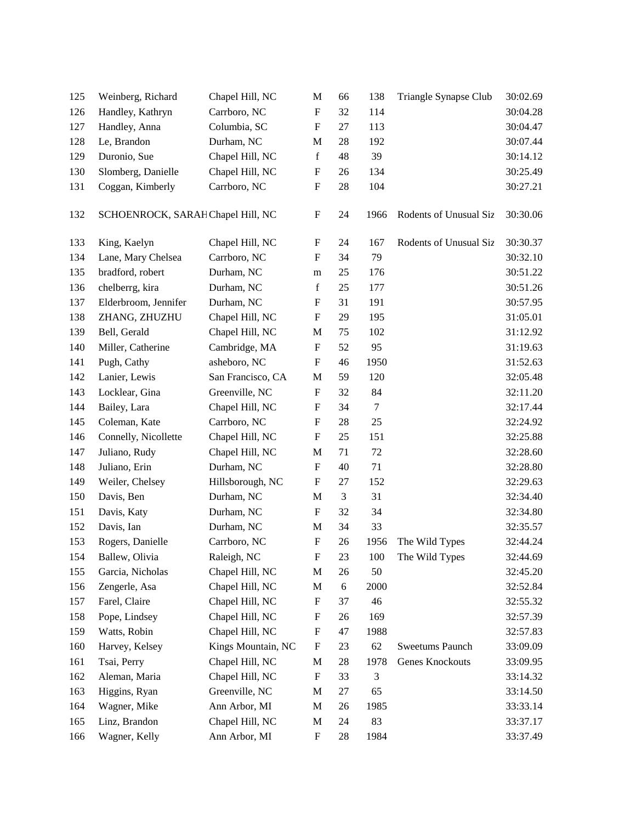| 125 | Weinberg, Richard                 | Chapel Hill, NC    | $\mathbf{M}$              | 66         | 138     | Triangle Synapse Club  | 30:02.69 |
|-----|-----------------------------------|--------------------|---------------------------|------------|---------|------------------------|----------|
| 126 | Handley, Kathryn                  | Carrboro, NC       | $\mathbf F$               | 32         | 114     |                        | 30:04.28 |
| 127 | Handley, Anna                     | Columbia, SC       | $\boldsymbol{\mathrm{F}}$ | 27         | 113     |                        | 30:04.47 |
| 128 | Le, Brandon                       | Durham, NC         | M                         | 28         | 192     |                        | 30:07.44 |
| 129 | Duronio, Sue                      | Chapel Hill, NC    | $\mathbf f$               | 48         | 39      |                        | 30:14.12 |
| 130 | Slomberg, Danielle                | Chapel Hill, NC    | $\boldsymbol{\mathrm{F}}$ | 26         | 134     |                        | 30:25.49 |
| 131 | Coggan, Kimberly                  | Carrboro, NC       | $\mathbf F$               | 28         | 104     |                        | 30:27.21 |
| 132 | SCHOENROCK, SARAH Chapel Hill, NC |                    | ${\bf F}$                 | 24         | 1966    | Rodents of Unusual Siz | 30:30.06 |
| 133 | King, Kaelyn                      | Chapel Hill, NC    | $\mathbf F$               | 24         | 167     | Rodents of Unusual Siz | 30:30.37 |
| 134 | Lane, Mary Chelsea                | Carrboro, NC       | F                         | 34         | 79      |                        | 30:32.10 |
| 135 | bradford, robert                  | Durham, NC         | m                         | 25         | 176     |                        | 30:51.22 |
| 136 | chelberrg, kira                   | Durham, NC         | $\mathbf f$               | 25         | 177     |                        | 30:51.26 |
| 137 | Elderbroom, Jennifer              | Durham, NC         | $\boldsymbol{\mathrm{F}}$ | 31         | 191     |                        | 30:57.95 |
| 138 | ZHANG, ZHUZHU                     | Chapel Hill, NC    | $\mathbf F$               | 29         | 195     |                        | 31:05.01 |
| 139 | Bell, Gerald                      | Chapel Hill, NC    | $\mathbf M$               | 75         | 102     |                        | 31:12.92 |
| 140 | Miller, Catherine                 | Cambridge, MA      | $\boldsymbol{\mathrm{F}}$ | 52         | 95      |                        | 31:19.63 |
| 141 | Pugh, Cathy                       | asheboro, NC       | $\boldsymbol{\mathrm{F}}$ | 46         | 1950    |                        | 31:52.63 |
| 142 | Lanier, Lewis                     | San Francisco, CA  | $\mathbf M$               | 59         | 120     |                        | 32:05.48 |
| 143 | Locklear, Gina                    | Greenville, NC     | F                         | 32         | 84      |                        | 32:11.20 |
| 144 | Bailey, Lara                      | Chapel Hill, NC    | $\boldsymbol{\mathrm{F}}$ | 34         | $\tau$  |                        | 32:17.44 |
| 145 | Coleman, Kate                     | Carrboro, NC       | $\boldsymbol{\mathrm{F}}$ | 28         | 25      |                        | 32:24.92 |
| 146 | Connelly, Nicollette              | Chapel Hill, NC    | $\boldsymbol{\mathrm{F}}$ | 25         | 151     |                        | 32:25.88 |
| 147 | Juliano, Rudy                     | Chapel Hill, NC    | $\mathbf M$               | 71         | 72      |                        | 32:28.60 |
| 148 | Juliano, Erin                     | Durham, NC         | $\boldsymbol{\mathrm{F}}$ | 40         | 71      |                        | 32:28.80 |
| 149 | Weiler, Chelsey                   | Hillsborough, NC   | $\boldsymbol{\mathrm{F}}$ | 27         | 152     |                        | 32:29.63 |
| 150 | Davis, Ben                        | Durham, NC         | M                         | 3          | 31      |                        | 32:34.40 |
| 151 | Davis, Katy                       | Durham, NC         | $\boldsymbol{\mathrm{F}}$ | 32         | 34      |                        | 32:34.80 |
| 152 | Davis, Ian                        | Durham, NC         | $\mathbf M$               | 34         | 33      |                        | 32:35.57 |
| 153 | Rogers, Danielle                  | Carrboro, NC       | $\boldsymbol{\mathrm{F}}$ | 26         | 1956    | The Wild Types         | 32:44.24 |
| 154 | Ballew, Olivia                    | Raleigh, NC        | ${\bf F}$                 | $23\,$     | $100\,$ | The Wild Types         | 32:44.69 |
| 155 | Garcia, Nicholas                  | Chapel Hill, NC    | $\mathbf M$               | 26         | 50      |                        | 32:45.20 |
| 156 | Zengerle, Asa                     | Chapel Hill, NC    | $\mathbf M$               | $\sqrt{6}$ | 2000    |                        | 32:52.84 |
| 157 | Farel, Claire                     | Chapel Hill, NC    | F                         | 37         | 46      |                        | 32:55.32 |
| 158 | Pope, Lindsey                     | Chapel Hill, NC    | F                         | 26         | 169     |                        | 32:57.39 |
| 159 | Watts, Robin                      | Chapel Hill, NC    | $\boldsymbol{\mathrm{F}}$ | 47         | 1988    |                        | 32:57.83 |
| 160 | Harvey, Kelsey                    | Kings Mountain, NC | $\boldsymbol{\mathrm{F}}$ | 23         | 62      | <b>Sweetums Paunch</b> | 33:09.09 |
| 161 | Tsai, Perry                       | Chapel Hill, NC    | $\mathbf{M}$              | 28         | 1978    | <b>Genes Knockouts</b> | 33:09.95 |
| 162 | Aleman, Maria                     | Chapel Hill, NC    | F                         | 33         | 3       |                        | 33:14.32 |
| 163 | Higgins, Ryan                     | Greenville, NC     | M                         | 27         | 65      |                        | 33:14.50 |
| 164 | Wagner, Mike                      | Ann Arbor, MI      | M                         | 26         | 1985    |                        | 33:33.14 |
| 165 | Linz, Brandon                     | Chapel Hill, NC    | $\mathbf M$               | 24         | 83      |                        | 33:37.17 |
| 166 | Wagner, Kelly                     | Ann Arbor, MI      | $\mathbf F$               | 28         | 1984    |                        | 33:37.49 |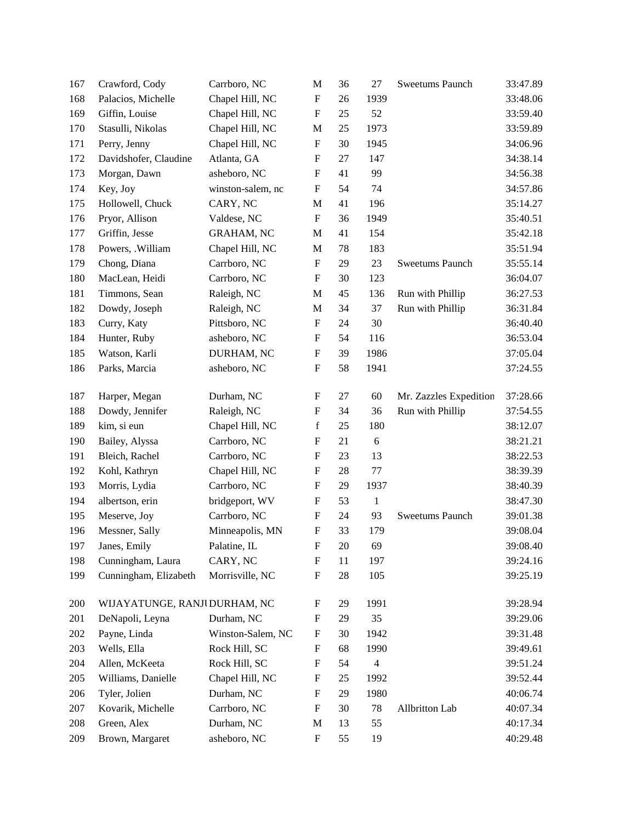| 167 | Crawford, Cody                | Carrboro, NC      | $\mathbf M$               | 36 | 27             | Sweetums Paunch        | 33:47.89 |
|-----|-------------------------------|-------------------|---------------------------|----|----------------|------------------------|----------|
| 168 | Palacios, Michelle            | Chapel Hill, NC   | $\mathbf F$               | 26 | 1939           |                        | 33:48.06 |
| 169 | Giffin, Louise                | Chapel Hill, NC   | $\boldsymbol{\mathrm{F}}$ | 25 | 52             |                        | 33:59.40 |
| 170 | Stasulli, Nikolas             | Chapel Hill, NC   | M                         | 25 | 1973           |                        | 33:59.89 |
| 171 | Perry, Jenny                  | Chapel Hill, NC   | ${\rm F}$                 | 30 | 1945           |                        | 34:06.96 |
| 172 | Davidshofer, Claudine         | Atlanta, GA       | ${\bf F}$                 | 27 | 147            |                        | 34:38.14 |
| 173 | Morgan, Dawn                  | asheboro, NC      | $\mathbf F$               | 41 | 99             |                        | 34:56.38 |
| 174 | Key, Joy                      | winston-salem, nc | $\mathbf F$               | 54 | 74             |                        | 34:57.86 |
| 175 | Hollowell, Chuck              | CARY, NC          | $\mathbf M$               | 41 | 196            |                        | 35:14.27 |
| 176 | Pryor, Allison                | Valdese, NC       | ${\rm F}$                 | 36 | 1949           |                        | 35:40.51 |
| 177 | Griffin, Jesse                | <b>GRAHAM, NC</b> | $\mathbf M$               | 41 | 154            |                        | 35:42.18 |
| 178 | Powers, .William              | Chapel Hill, NC   | M                         | 78 | 183            |                        | 35:51.94 |
| 179 | Chong, Diana                  | Carrboro, NC      | $\mathbf F$               | 29 | 23             | Sweetums Paunch        | 35:55.14 |
| 180 | MacLean, Heidi                | Carrboro, NC      | $\boldsymbol{\mathrm{F}}$ | 30 | 123            |                        | 36:04.07 |
| 181 | Timmons, Sean                 | Raleigh, NC       | M                         | 45 | 136            | Run with Phillip       | 36:27.53 |
| 182 | Dowdy, Joseph                 | Raleigh, NC       | M                         | 34 | 37             | Run with Phillip       | 36:31.84 |
| 183 | Curry, Katy                   | Pittsboro, NC     | F                         | 24 | 30             |                        | 36:40.40 |
| 184 | Hunter, Ruby                  | asheboro, NC      | ${\rm F}$                 | 54 | 116            |                        | 36:53.04 |
| 185 | Watson, Karli                 | DURHAM, NC        | $\mathbf F$               | 39 | 1986           |                        | 37:05.04 |
| 186 | Parks, Marcia                 | asheboro, NC      | ${\rm F}$                 | 58 | 1941           |                        | 37:24.55 |
| 187 | Harper, Megan                 | Durham, NC        | ${\rm F}$                 | 27 | 60             | Mr. Zazzles Expedition | 37:28.66 |
| 188 | Dowdy, Jennifer               | Raleigh, NC       | ${\rm F}$                 | 34 | 36             | Run with Phillip       | 37:54.55 |
| 189 | kim, si eun                   | Chapel Hill, NC   | $\mathbf f$               | 25 | 180            |                        | 38:12.07 |
| 190 | Bailey, Alyssa                | Carrboro, NC      | $\boldsymbol{F}$          | 21 | 6              |                        | 38:21.21 |
| 191 | Bleich, Rachel                | Carrboro, NC      | $\boldsymbol{\mathrm{F}}$ | 23 | 13             |                        | 38:22.53 |
| 192 | Kohl, Kathryn                 | Chapel Hill, NC   | $\mathbf F$               | 28 | 77             |                        | 38:39.39 |
| 193 | Morris, Lydia                 | Carrboro, NC      | $\mathbf F$               | 29 | 1937           |                        | 38:40.39 |
| 194 | albertson, erin               | bridgeport, WV    | F                         | 53 | $\mathbf{1}$   |                        | 38:47.30 |
| 195 | Meserve, Joy                  | Carrboro, NC      | $\mathbf F$               | 24 | 93             | <b>Sweetums Paunch</b> | 39:01.38 |
| 196 | Messner, Sally                | Minneapolis, MN   | ${\bf F}$                 | 33 | 179            |                        | 39:08.04 |
| 197 | Janes, Emily                  | Palatine, IL      | ${\bf F}$                 | 20 | 69             |                        | 39:08.40 |
| 198 | Cunningham, Laura             | CARY, NC          | F                         | 11 | 197            |                        | 39:24.16 |
| 199 | Cunningham, Elizabeth         | Morrisville, NC   | ${\rm F}$                 | 28 | 105            |                        | 39:25.19 |
| 200 | WIJAYATUNGE, RANJI DURHAM, NC |                   | F                         | 29 | 1991           |                        | 39:28.94 |
| 201 | DeNapoli, Leyna               | Durham, NC        | F                         | 29 | 35             |                        | 39:29.06 |
| 202 | Payne, Linda                  | Winston-Salem, NC | F                         | 30 | 1942           |                        | 39:31.48 |
| 203 | Wells, Ella                   | Rock Hill, SC     | F                         | 68 | 1990           |                        | 39:49.61 |
| 204 | Allen, McKeeta                | Rock Hill, SC     | $\mathbf F$               | 54 | $\overline{4}$ |                        | 39:51.24 |
| 205 | Williams, Danielle            | Chapel Hill, NC   | F                         | 25 | 1992           |                        | 39:52.44 |
| 206 | Tyler, Jolien                 | Durham, NC        | F                         | 29 | 1980           |                        | 40:06.74 |
| 207 | Kovarik, Michelle             | Carrboro, NC      | $\boldsymbol{\mathrm{F}}$ | 30 | 78             | Allbritton Lab         | 40:07.34 |
| 208 | Green, Alex                   | Durham, NC        | M                         | 13 | 55             |                        | 40:17.34 |
| 209 | Brown, Margaret               | asheboro, NC      | ${\bf F}$                 | 55 | 19             |                        | 40:29.48 |